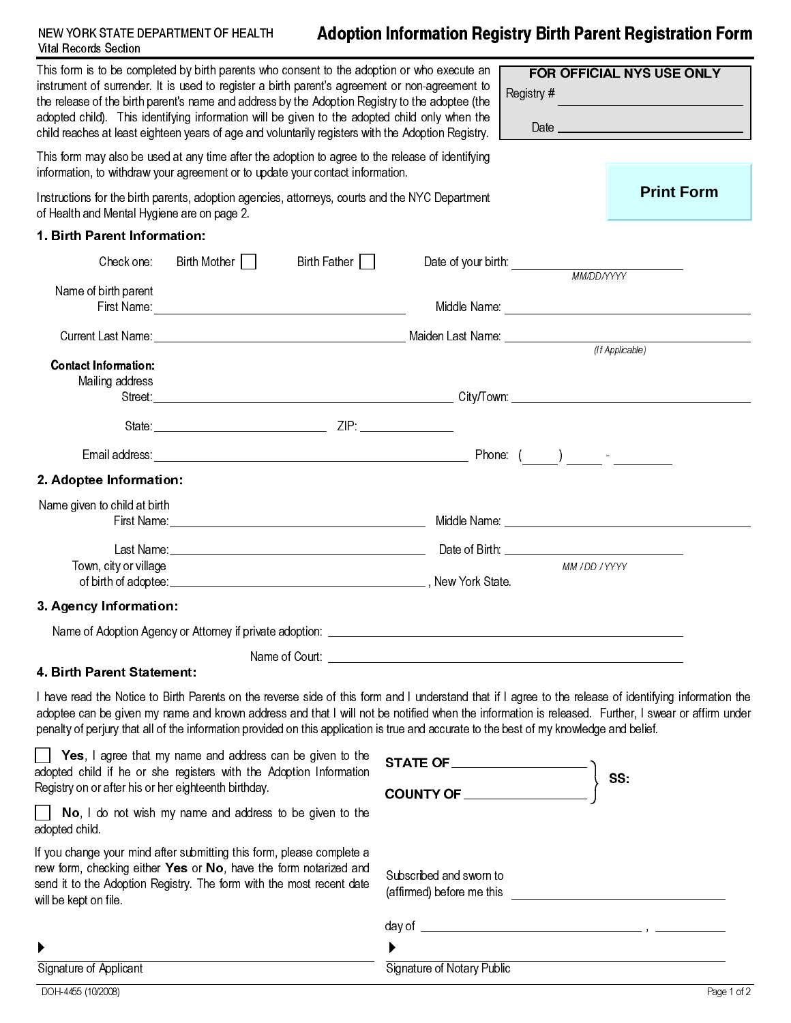## NEW YORK STATE DEPARTMENT OF HEALTH **Adoption Information Registry Birth Parent Registration Form** Vital Records Section

|                                                                                                                                                                                                                                                                                                                                                                                                                                 | This form is to be completed by birth parents who consent to the adoption or who execute an<br>instrument of surrender. It is used to register a birth parent's agreement or non-agreement to<br>the release of the birth parent's name and address by the Adoption Registry to the adoptee (the<br>adopted child). This identifying information will be given to the adopted child only when the<br>child reaches at least eighteen years of age and voluntarily registers with the Adoption Registry. |                            | FOR OFFICIAL NYS USE ONLY<br>Registry #             |                   |
|---------------------------------------------------------------------------------------------------------------------------------------------------------------------------------------------------------------------------------------------------------------------------------------------------------------------------------------------------------------------------------------------------------------------------------|---------------------------------------------------------------------------------------------------------------------------------------------------------------------------------------------------------------------------------------------------------------------------------------------------------------------------------------------------------------------------------------------------------------------------------------------------------------------------------------------------------|----------------------------|-----------------------------------------------------|-------------------|
|                                                                                                                                                                                                                                                                                                                                                                                                                                 | This form may also be used at any time after the adoption to agree to the release of identifying<br>information, to withdraw your agreement or to update your contact information.                                                                                                                                                                                                                                                                                                                      |                            |                                                     |                   |
| of Health and Mental Hygiene are on page 2.                                                                                                                                                                                                                                                                                                                                                                                     | Instructions for the birth parents, adoption agencies, attorneys, courts and the NYC Department                                                                                                                                                                                                                                                                                                                                                                                                         |                            |                                                     | <b>Print Form</b> |
| 1. Birth Parent Information:                                                                                                                                                                                                                                                                                                                                                                                                    |                                                                                                                                                                                                                                                                                                                                                                                                                                                                                                         |                            |                                                     |                   |
| Check one:                                                                                                                                                                                                                                                                                                                                                                                                                      | Birth Mother    <br>Birth Father                                                                                                                                                                                                                                                                                                                                                                                                                                                                        |                            |                                                     |                   |
| Name of birth parent                                                                                                                                                                                                                                                                                                                                                                                                            |                                                                                                                                                                                                                                                                                                                                                                                                                                                                                                         |                            |                                                     |                   |
|                                                                                                                                                                                                                                                                                                                                                                                                                                 |                                                                                                                                                                                                                                                                                                                                                                                                                                                                                                         |                            |                                                     |                   |
| <b>Contact Information:</b><br>Mailing address                                                                                                                                                                                                                                                                                                                                                                                  |                                                                                                                                                                                                                                                                                                                                                                                                                                                                                                         |                            |                                                     |                   |
|                                                                                                                                                                                                                                                                                                                                                                                                                                 |                                                                                                                                                                                                                                                                                                                                                                                                                                                                                                         |                            |                                                     |                   |
|                                                                                                                                                                                                                                                                                                                                                                                                                                 |                                                                                                                                                                                                                                                                                                                                                                                                                                                                                                         |                            |                                                     |                   |
|                                                                                                                                                                                                                                                                                                                                                                                                                                 |                                                                                                                                                                                                                                                                                                                                                                                                                                                                                                         |                            |                                                     |                   |
| 2. Adoptee Information:                                                                                                                                                                                                                                                                                                                                                                                                         |                                                                                                                                                                                                                                                                                                                                                                                                                                                                                                         |                            |                                                     |                   |
| Name given to child at birth                                                                                                                                                                                                                                                                                                                                                                                                    |                                                                                                                                                                                                                                                                                                                                                                                                                                                                                                         |                            |                                                     |                   |
|                                                                                                                                                                                                                                                                                                                                                                                                                                 |                                                                                                                                                                                                                                                                                                                                                                                                                                                                                                         |                            |                                                     |                   |
| Town, city or village                                                                                                                                                                                                                                                                                                                                                                                                           |                                                                                                                                                                                                                                                                                                                                                                                                                                                                                                         |                            | MM / DD / YYYY                                      |                   |
| 3. Agency Information:                                                                                                                                                                                                                                                                                                                                                                                                          |                                                                                                                                                                                                                                                                                                                                                                                                                                                                                                         |                            |                                                     |                   |
|                                                                                                                                                                                                                                                                                                                                                                                                                                 | Name of Adoption Agency or Attorney if private adoption: ______________________                                                                                                                                                                                                                                                                                                                                                                                                                         |                            |                                                     |                   |
|                                                                                                                                                                                                                                                                                                                                                                                                                                 | Name of Court: <u>Name of Court:</u> Name of Court:                                                                                                                                                                                                                                                                                                                                                                                                                                                     |                            |                                                     |                   |
| 4. Birth Parent Statement:                                                                                                                                                                                                                                                                                                                                                                                                      |                                                                                                                                                                                                                                                                                                                                                                                                                                                                                                         |                            |                                                     |                   |
|                                                                                                                                                                                                                                                                                                                                                                                                                                 | I have read the Notice to Birth Parents on the reverse side of this form and I understand that if I agree to the release of identifying information the<br>adoptee can be given my name and known address and that I will not be notified when the information is released. Further, I swear or affirm under<br>penalty of perjury that all of the information provided on this application is true and accurate to the best of my knowledge and belief.                                                |                            |                                                     |                   |
| Yes, I agree that my name and address can be given to the<br>$\begin{picture}(180,10) \put(0,0){\vector(1,0){100}} \put(15,0){\vector(1,0){100}} \put(15,0){\vector(1,0){100}} \put(15,0){\vector(1,0){100}} \put(15,0){\vector(1,0){100}} \put(15,0){\vector(1,0){100}} \put(15,0){\vector(1,0){100}} \put(15,0){\vector(1,0){100}} \put(15,0){\vector(1,0){100}} \put(15,0){\vector(1,0){100}} \put(15,0){\vector(1,0){100}}$ |                                                                                                                                                                                                                                                                                                                                                                                                                                                                                                         |                            |                                                     |                   |
| adopted child if he or she registers with the Adoption Information<br>Registry on or after his or her eighteenth birthday.                                                                                                                                                                                                                                                                                                      |                                                                                                                                                                                                                                                                                                                                                                                                                                                                                                         | COUNTY OF                  |                                                     | SS:               |
| adopted child.                                                                                                                                                                                                                                                                                                                                                                                                                  | No, I do not wish my name and address to be given to the                                                                                                                                                                                                                                                                                                                                                                                                                                                |                            |                                                     |                   |
| If you change your mind after submitting this form, please complete a<br>new form, checking either Yes or No, have the form notarized and<br>send it to the Adoption Registry. The form with the most recent date<br>will be kept on file.                                                                                                                                                                                      |                                                                                                                                                                                                                                                                                                                                                                                                                                                                                                         | Subscribed and sworn to    |                                                     |                   |
|                                                                                                                                                                                                                                                                                                                                                                                                                                 |                                                                                                                                                                                                                                                                                                                                                                                                                                                                                                         |                            |                                                     |                   |
|                                                                                                                                                                                                                                                                                                                                                                                                                                 |                                                                                                                                                                                                                                                                                                                                                                                                                                                                                                         | ▶                          | <u> 1989 - Johann Barbara, martxa eta politikar</u> |                   |
| Signature of Applicant                                                                                                                                                                                                                                                                                                                                                                                                          |                                                                                                                                                                                                                                                                                                                                                                                                                                                                                                         | Signature of Notary Public |                                                     |                   |
| DOH-4455 (10/2008)                                                                                                                                                                                                                                                                                                                                                                                                              |                                                                                                                                                                                                                                                                                                                                                                                                                                                                                                         |                            |                                                     | Page 1 of 2       |